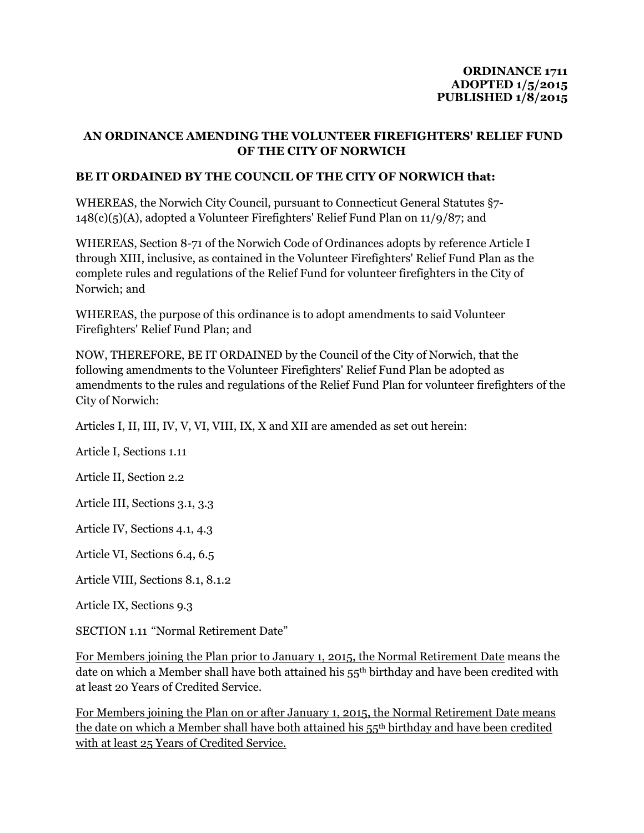#### **ORDINANCE 1711 ADOPTED 1/5/2015 PUBLISHED 1/8/2015**

#### **AN ORDINANCE AMENDING THE VOLUNTEER FIREFIGHTERS' RELIEF FUND OF THE CITY OF NORWICH**

#### **BE IT ORDAINED BY THE COUNCIL OF THE CITY OF NORWICH that:**

WHEREAS, the Norwich City Council, pursuant to Connecticut General Statutes §7- 148(c)(5)(A), adopted a Volunteer Firefighters' Relief Fund Plan on 11/9/87; and

WHEREAS, Section 8-71 of the Norwich Code of Ordinances adopts by reference Article I through XIII, inclusive, as contained in the Volunteer Firefighters' Relief Fund Plan as the complete rules and regulations of the Relief Fund for volunteer firefighters in the City of Norwich; and

WHEREAS, the purpose of this ordinance is to adopt amendments to said Volunteer Firefighters' Relief Fund Plan; and

NOW, THEREFORE, BE IT ORDAINED by the Council of the City of Norwich, that the following amendments to the Volunteer Firefighters' Relief Fund Plan be adopted as amendments to the rules and regulations of the Relief Fund Plan for volunteer firefighters of the City of Norwich:

Articles I, II, III, IV, V, VI, VIII, IX, X and XII are amended as set out herein:

Article I, Sections 1.11

Article II, Section 2.2

Article III, Sections 3.1, 3.3

Article IV, Sections 4.1, 4.3

Article VI, Sections 6.4, 6.5

Article VIII, Sections 8.1, 8.1.2

Article IX, Sections 9.3

SECTION 1.11 "Normal Retirement Date"

For Members joining the Plan prior to January 1, 2015, the Normal Retirement Date means the date on which a Member shall have both attained his 55th birthday and have been credited with at least 20 Years of Credited Service.

For Members joining the Plan on or after January 1, 2015, the Normal Retirement Date means the date on which a Member shall have both attained his 55th birthday and have been credited with at least 25 Years of Credited Service.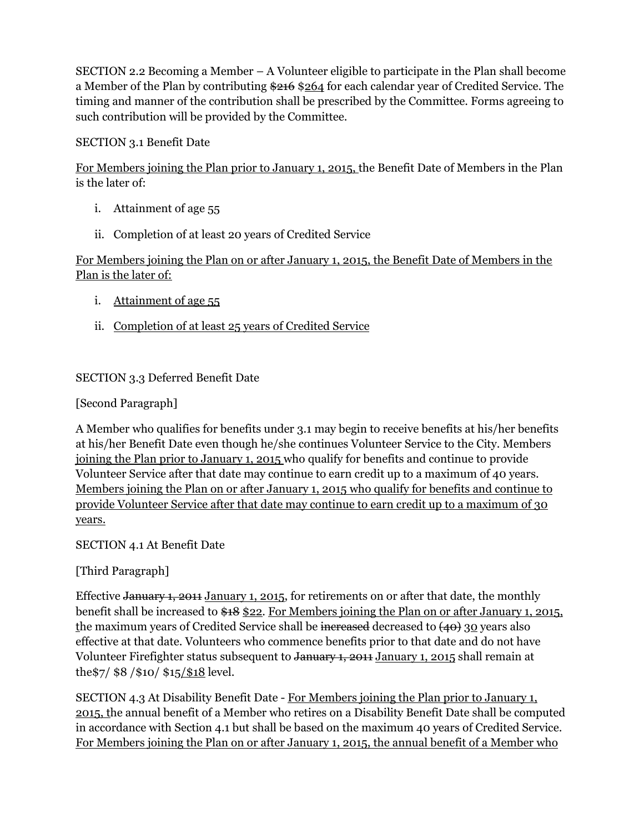SECTION 2.2 Becoming a Member  $-A$  Volunteer eligible to participate in the Plan shall become a Member of the Plan by contributing  $216$  \$264 for each calendar year of Credited Service. The timing and manner of the contribution shall be prescribed by the Committee. Forms agreeing to such contribution will be provided by the Committee.

SECTION 3.1 Benefit Date

For Members joining the Plan prior to January 1, 2015, the Benefit Date of Members in the Plan is the later of:

- i. Attainment of age 55
- ii. Completion of at least 20 years of Credited Service

For Members joining the Plan on or after January 1, 2015, the Benefit Date of Members in the Plan is the later of:

- i. Attainment of age 55
- ii. Completion of at least 25 years of Credited Service

### SECTION 3.3 Deferred Benefit Date

[Second Paragraph]

A Member who qualifies for benefits under 3.1 may begin to receive benefits at his/her benefits at his/her Benefit Date even though he/she continues Volunteer Service to the City. Members joining the Plan prior to January 1, 2015 who qualify for benefits and continue to provide Volunteer Service after that date may continue to earn credit up to a maximum of 40 years. Members joining the Plan on or after January 1, 2015 who qualify for benefits and continue to provide Volunteer Service after that date may continue to earn credit up to a maximum of 30 years.

SECTION 4.1 At Benefit Date

[Third Paragraph]

Effective January 1, 2011 January 1, 2015, for retirements on or after that date, the monthly benefit shall be increased to \$18 \$22. For Members joining the Plan on or after January 1, 2015, the maximum years of Credited Service shall be increased decreased to  $(40)$  30 years also effective at that date. Volunteers who commence benefits prior to that date and do not have Volunteer Firefighter status subsequent to January 1, 2011 January 1, 2015 shall remain at the\$7/ \$8 /\$10/ \$15/\$18 level.

SECTION 4.3 At Disability Benefit Date - For Members joining the Plan prior to January 1, 2015, the annual benefit of a Member who retires on a Disability Benefit Date shall be computed in accordance with Section 4.1 but shall be based on the maximum 40 years of Credited Service. For Members joining the Plan on or after January 1, 2015, the annual benefit of a Member who